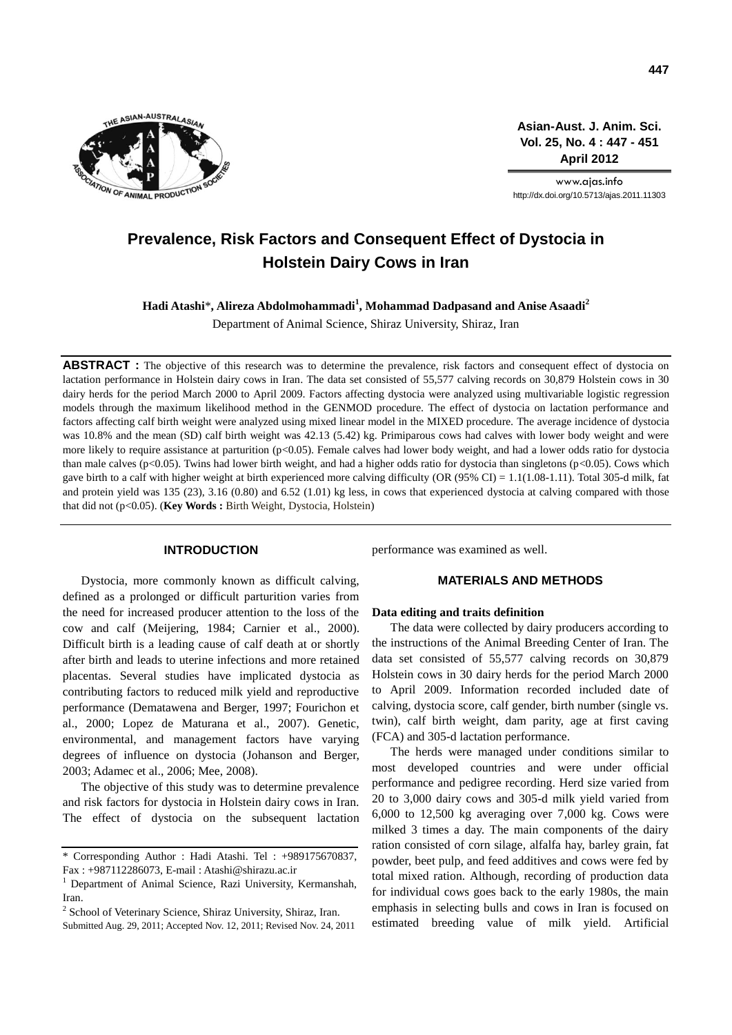

**Asian-Aust. J. Anim. Sci. Vol. 25, No. 4 : 447 - 451 April 2012**

www.ajas.info http://dx.doi.org/10.5713/ajas.2011.11303

# **Prevalence, Risk Factors and Consequent Effect of Dystocia in Holstein Dairy Cows in Iran**

**Hadi Atashi**\***, Alireza Abdolmohammadi<sup>1</sup> , Mohammad Dadpasand and Anise Asaadi<sup>2</sup>**

Department of Animal Science, Shiraz University, Shiraz, Iran

**ABSTRACT** : The objective of this research was to determine the prevalence, risk factors and consequent effect of dystocia on lactation performance in Holstein dairy cows in Iran. The data set consisted of 55,577 calving records on 30,879 Holstein cows in 30 dairy herds for the period March 2000 to April 2009. Factors affecting dystocia were analyzed using multivariable logistic regression models through the maximum likelihood method in the GENMOD procedure. The effect of dystocia on lactation performance and factors affecting calf birth weight were analyzed using mixed linear model in the MIXED procedure. The average incidence of dystocia was 10.8% and the mean (SD) calf birth weight was 42.13 (5.42) kg. Primiparous cows had calves with lower body weight and were more likely to require assistance at parturition (p<0.05). Female calves had lower body weight, and had a lower odds ratio for dystocia than male calves (p<0.05). Twins had lower birth weight, and had a higher odds ratio for dystocia than singletons (p<0.05). Cows which gave birth to a calf with higher weight at birth experienced more calving difficulty (OR (95% CI) = 1.1(1.08-1.11). Total 305-d milk, fat and protein yield was 135 (23), 3.16 (0.80) and 6.52 (1.01) kg less, in cows that experienced dystocia at calving compared with those that did not (p<0.05). (**Key Words :** Birth Weight, Dystocia, Holstein)

# **INTRODUCTION**

Dystocia, more commonly known as difficult calving, defined as a prolonged or difficult parturition varies from the need for increased producer attention to the loss of the cow and calf (Meijering, 1984; Carnier et al., 2000). Difficult birth is a leading cause of calf death at or shortly after birth and leads to uterine infections and more retained placentas. Several studies have implicated dystocia as contributing factors to reduced milk yield and reproductive performance (Dematawena and Berger, 1997; Fourichon et al., 2000; Lopez de Maturana et al., 2007). Genetic, environmental, and management factors have varying degrees of influence on dystocia (Johanson and Berger, 2003; Adamec et al., 2006; Mee, 2008).

The objective of this study was to determine prevalence and risk factors for dystocia in Holstein dairy cows in Iran. The effect of dystocia on the subsequent lactation

<sup>2</sup> School of Veterinary Science, Shiraz University, Shiraz, Iran.

Submitted Aug. 29, 2011; Accepted Nov. 12, 2011; Revised Nov. 24, 2011

performance was examined as well.

## **MATERIALS AND METHODS**

#### **Data editing and traits definition**

The data were collected by dairy producers according to the instructions of the Animal Breeding Center of Iran. The data set consisted of 55,577 calving records on 30,879 Holstein cows in 30 dairy herds for the period March 2000 to April 2009. Information recorded included date of calving, dystocia score, calf gender, birth number (single vs. twin), calf birth weight, dam parity, age at first caving (FCA) and 305-d lactation performance.

The herds were managed under conditions similar to most developed countries and were under official performance and pedigree recording. Herd size varied from 20 to 3,000 dairy cows and 305-d milk yield varied from 6,000 to 12,500 kg averaging over 7,000 kg. Cows were milked 3 times a day. The main components of the dairy ration consisted of corn silage, alfalfa hay, barley grain, fat powder, beet pulp, and feed additives and cows were fed by total mixed ration. Although, recording of production data for individual cows goes back to the early 1980s, the main emphasis in selecting bulls and cows in Iran is focused on estimated breeding value of milk yield. Artificial

<sup>\*</sup> Corresponding Author : Hadi Atashi. Tel : +989175670837, Fax : +987112286073, E-mail : Atashi@shirazu.ac.ir

<sup>&</sup>lt;sup>1</sup> Department of Animal Science, Razi University, Kermanshah, Iran.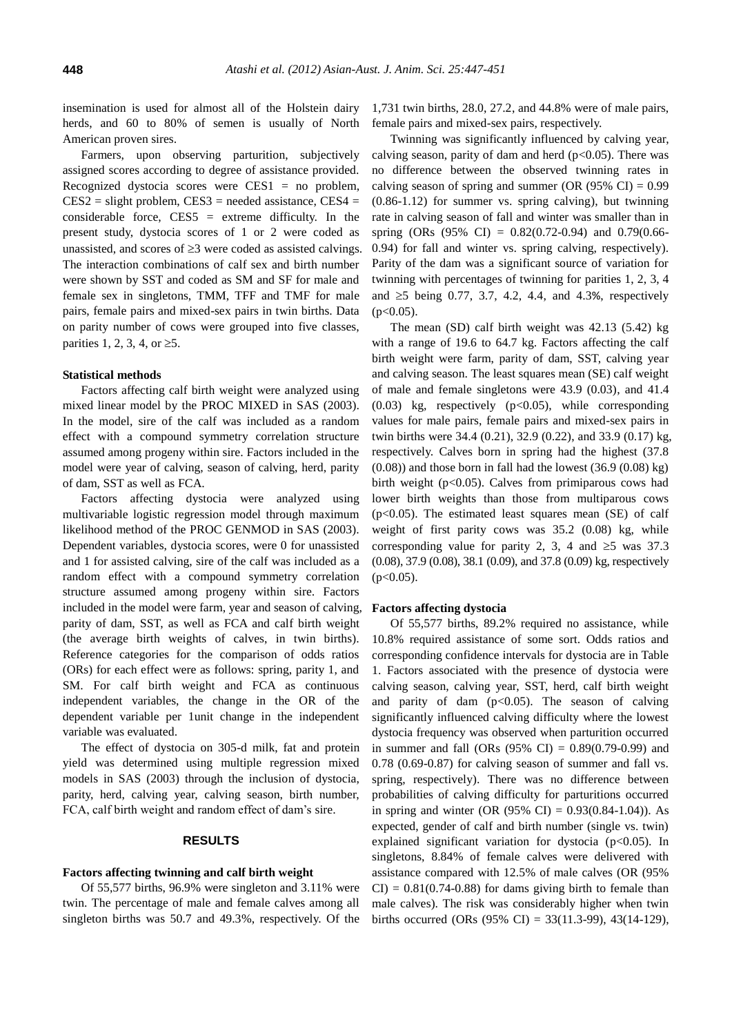insemination is used for almost all of the Holstein dairy herds, and 60 to 80% of semen is usually of North American proven sires.

Farmers, upon observing parturition, subjectively assigned scores according to degree of assistance provided. Recognized dystocia scores were  $CES1 = no$  problem,  $CES2 = slight problem, CES3 = needed assistance, CES4 =$ considerable force,  $CES5$  = extreme difficulty. In the present study, dystocia scores of 1 or 2 were coded as unassisted, and scores of  $\geq$ 3 were coded as assisted calvings. The interaction combinations of calf sex and birth number were shown by SST and coded as SM and SF for male and female sex in singletons, TMM, TFF and TMF for male pairs, female pairs and mixed-sex pairs in twin births. Data on parity number of cows were grouped into five classes, parities 1, 2, 3, 4, or  $\geq 5$ .

#### **Statistical methods**

Factors affecting calf birth weight were analyzed using mixed linear model by the PROC MIXED in SAS (2003). In the model, sire of the calf was included as a random effect with a compound symmetry correlation structure assumed among progeny within sire. Factors included in the model were year of calving, season of calving, herd, parity of dam, SST as well as FCA.

Factors affecting dystocia were analyzed using multivariable logistic regression model through maximum likelihood method of the PROC GENMOD in SAS (2003). Dependent variables, dystocia scores, were 0 for unassisted and 1 for assisted calving, sire of the calf was included as a random effect with a compound symmetry correlation structure assumed among progeny within sire. Factors included in the model were farm, year and season of calving, parity of dam, SST, as well as FCA and calf birth weight (the average birth weights of calves, in twin births). Reference categories for the comparison of odds ratios (ORs) for each effect were as follows: spring, parity 1, and SM. For calf birth weight and FCA as continuous independent variables, the change in the OR of the dependent variable per 1unit change in the independent variable was evaluated.

The effect of dystocia on 305-d milk, fat and protein yield was determined using multiple regression mixed models in SAS (2003) through the inclusion of dystocia, parity, herd, calving year, calving season, birth number, FCA, calf birth weight and random effect of dam's sire.

# **RESULTS**

#### **Factors affecting twinning and calf birth weight**

Of 55,577 births, 96.9% were singleton and 3.11% were twin. The percentage of male and female calves among all singleton births was 50.7 and 49.3%, respectively. Of the 1,731 twin births, 28.0, 27.2, and 44.8% were of male pairs, female pairs and mixed-sex pairs, respectively.

Twinning was significantly influenced by calving year, calving season, parity of dam and herd  $(p<0.05)$ . There was no difference between the observed twinning rates in calving season of spring and summer (OR  $(95\% \text{ CI}) = 0.99$ ) (0.86-1.12) for summer vs. spring calving), but twinning rate in calving season of fall and winter was smaller than in spring (ORs (95% CI) = 0.82(0.72-0.94) and 0.79(0.66- 0.94) for fall and winter vs. spring calving, respectively). Parity of the dam was a significant source of variation for twinning with percentages of twinning for parities 1, 2, 3, 4 and  $\geq 5$  being 0.77, 3.7, 4.2, 4.4, and 4.3%, respectively  $(p<0.05)$ .

The mean (SD) calf birth weight was 42.13 (5.42) kg with a range of 19.6 to 64.7 kg. Factors affecting the calf birth weight were farm, parity of dam, SST, calving year and calving season. The least squares mean (SE) calf weight of male and female singletons were 43.9 (0.03), and 41.4  $(0.03)$  kg, respectively  $(p<0.05)$ , while corresponding values for male pairs, female pairs and mixed-sex pairs in twin births were 34.4 (0.21), 32.9 (0.22), and 33.9 (0.17) kg, respectively. Calves born in spring had the highest (37.8  $(0.08)$ ) and those born in fall had the lowest  $(36.9 (0.08)$  kg) birth weight (p<0.05). Calves from primiparous cows had lower birth weights than those from multiparous cows  $(p<0.05)$ . The estimated least squares mean (SE) of calf weight of first parity cows was 35.2 (0.08) kg, while corresponding value for parity 2, 3, 4 and  $\geq$ 5 was 37.3 (0.08), 37.9 (0.08), 38.1 (0.09), and 37.8 (0.09) kg, respectively  $(p<0.05)$ .

#### **Factors affecting dystocia**

Of 55,577 births, 89.2% required no assistance, while 10.8% required assistance of some sort. Odds ratios and corresponding confidence intervals for dystocia are in Table 1. Factors associated with the presence of dystocia were calving season, calving year, SST, herd, calf birth weight and parity of dam  $(p<0.05)$ . The season of calving significantly influenced calving difficulty where the lowest dystocia frequency was observed when parturition occurred in summer and fall (ORs  $(95\% \text{ CI}) = 0.89(0.79\text{-}0.99)$  and 0.78 (0.69-0.87) for calving season of summer and fall vs. spring, respectively). There was no difference between probabilities of calving difficulty for parturitions occurred in spring and winter (OR (95% CI) =  $0.93(0.84-1.04)$ ). As expected, gender of calf and birth number (single vs. twin) explained significant variation for dystocia  $(p<0.05)$ . In singletons, 8.84% of female calves were delivered with assistance compared with 12.5% of male calves (OR (95%  $CI$ ) = 0.81(0.74-0.88) for dams giving birth to female than male calves). The risk was considerably higher when twin births occurred (ORs  $(95\% \text{ CI}) = 33(11.3-99), 43(14-129),$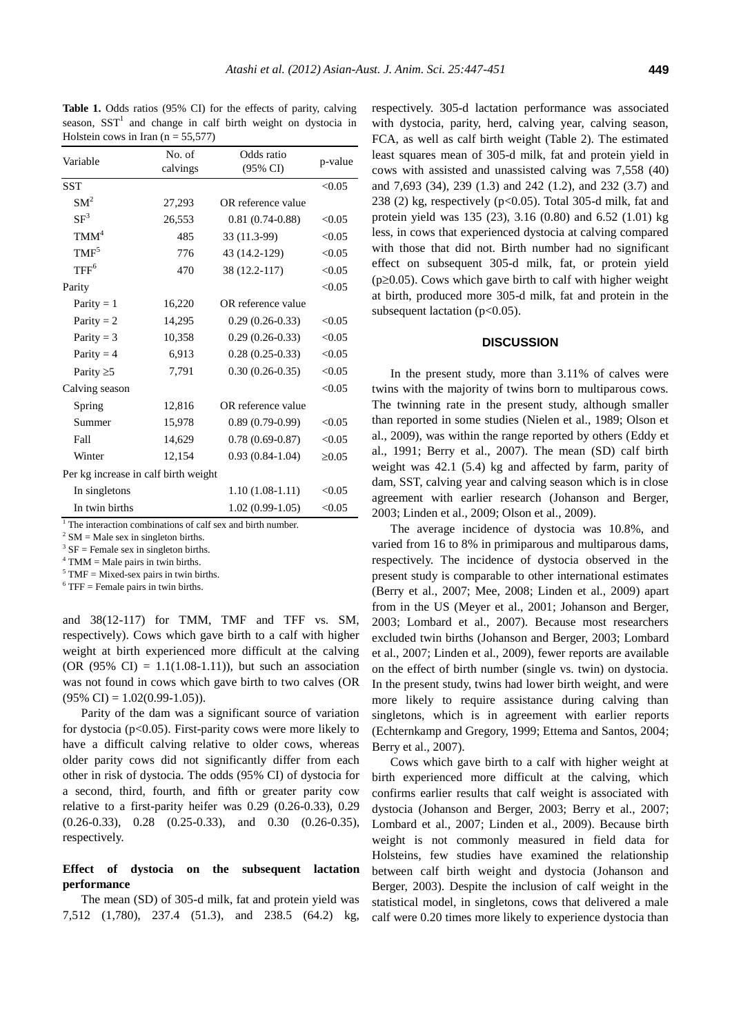**Table 1.** Odds ratios (95% CI) for the effects of parity, calving season,  $SST<sup>1</sup>$  and change in calf birth weight on dystocia in Holstein cows in Iran ( $n = 55,577$ )

| Variable                             | No. of   | Odds ratio                                                    | p-value     |
|--------------------------------------|----------|---------------------------------------------------------------|-------------|
|                                      | calvings | (95% CI)                                                      |             |
| <b>SST</b>                           |          |                                                               | < 0.05      |
| SM <sup>2</sup>                      | 27,293   | OR reference value                                            |             |
| SF <sup>3</sup>                      | 26,553   | $0.81(0.74-0.88)$                                             | < 0.05      |
| TMM <sup>4</sup>                     | 485      | 33 (11.3-99)                                                  | < 0.05      |
| TMF <sup>5</sup>                     | 776      | 43 (14.2-129)                                                 | < 0.05      |
| TFF <sup>6</sup>                     | 470      | 38 (12.2-117)                                                 | < 0.05      |
| Parity                               |          |                                                               | < 0.05      |
| Parity $= 1$                         | 16,220   | OR reference value                                            |             |
| Parity $= 2$                         | 14,295   | $0.29(0.26-0.33)$                                             | < 0.05      |
| Parity $= 3$                         | 10,358   | $0.29(0.26-0.33)$                                             | < 0.05      |
| Parity $= 4$                         | 6,913    | $0.28(0.25-0.33)$                                             | < 0.05      |
| Parity $\geq 5$                      | 7,791    | $0.30(0.26-0.35)$                                             | < 0.05      |
| Calving season                       |          |                                                               | < 0.05      |
| Spring                               | 12,816   | OR reference value                                            |             |
| Summer                               | 15,978   | $0.89(0.79-0.99)$                                             | < 0.05      |
| Fall                                 | 14,629   | $0.78(0.69-0.87)$                                             | < 0.05      |
| Winter                               | 12,154   | $0.93(0.84-1.04)$                                             | $\geq 0.05$ |
| Per kg increase in calf birth weight |          |                                                               |             |
| In singletons                        |          | $1.10(1.08-1.11)$                                             | < 0.05      |
| In twin births                       |          | $1.02(0.99-1.05)$                                             | < 0.05      |
|                                      |          | $1$ The interaction combinations of calf sex and birth number |             |

<sup>1</sup> The interaction combinations of calf sex and birth number.

 $2$  SM = Male sex in singleton births.

 $3 \text{ SF} =$  Female sex in singleton births.

 $4$  TMM = Male pairs in twin births.

 $5$  TMF = Mixed-sex pairs in twin births.

 $6$  TFF = Female pairs in twin births.

and 38(12-117) for TMM, TMF and TFF vs. SM, respectively). Cows which gave birth to a calf with higher weight at birth experienced more difficult at the calving (OR  $(95\% \text{ CI}) = 1.1(1.08-1.11)$ ), but such an association was not found in cows which gave birth to two calves (OR  $(95\% \text{ CI}) = 1.02(0.99-1.05)$ .

Parity of the dam was a significant source of variation for dystocia (p<0.05). First-parity cows were more likely to have a difficult calving relative to older cows, whereas older parity cows did not significantly differ from each other in risk of dystocia. The odds (95% CI) of dystocia for a second, third, fourth, and fifth or greater parity cow relative to a first-parity heifer was 0.29 (0.26-0.33), 0.29 (0.26-0.33), 0.28 (0.25-0.33), and 0.30 (0.26-0.35), respectively.

# **Effect of dystocia on the subsequent lactation performance**

The mean (SD) of 305-d milk, fat and protein yield was 7,512 (1,780), 237.4 (51.3), and 238.5 (64.2) kg, respectively. 305-d lactation performance was associated with dystocia, parity, herd, calving year, calving season, FCA, as well as calf birth weight (Table 2). The estimated least squares mean of 305-d milk, fat and protein yield in cows with assisted and unassisted calving was 7,558 (40) and 7,693 (34), 239 (1.3) and 242 (1.2), and 232 (3.7) and 238 (2) kg, respectively (p<0.05). Total 305-d milk, fat and protein yield was 135 (23), 3.16 (0.80) and 6.52 (1.01) kg less, in cows that experienced dystocia at calving compared with those that did not. Birth number had no significant effect on subsequent 305-d milk, fat, or protein yield ( $p\geq 0.05$ ). Cows which gave birth to calf with higher weight at birth, produced more 305-d milk, fat and protein in the subsequent lactation ( $p<0.05$ ).

## **DISCUSSION**

In the present study, more than 3.11% of calves were twins with the majority of twins born to multiparous cows. The twinning rate in the present study, although smaller than reported in some studies (Nielen et al., 1989; Olson et al., 2009), was within the range reported by others (Eddy et al., 1991; Berry et al., 2007). The mean (SD) calf birth weight was 42.1 (5.4) kg and affected by farm, parity of dam, SST, calving year and calving season which is in close agreement with earlier research (Johanson and Berger, 2003; Linden et al., 2009; Olson et al., 2009).

The average incidence of dystocia was 10.8%, and varied from 16 to 8% in primiparous and multiparous dams, respectively. The incidence of dystocia observed in the present study is comparable to other international estimates (Berry et al., 2007; Mee, 2008; Linden et al., 2009) apart from in the US (Meyer et al., 2001; Johanson and Berger, 2003; Lombard et al., 2007). Because most researchers excluded twin births (Johanson and Berger, 2003; Lombard et al., 2007; Linden et al., 2009), fewer reports are available on the effect of birth number (single vs. twin) on dystocia. In the present study, twins had lower birth weight, and were more likely to require assistance during calving than singletons, which is in agreement with earlier reports (Echternkamp and Gregory, 1999; Ettema and Santos, 2004; Berry et al., 2007).

Cows which gave birth to a calf with higher weight at birth experienced more difficult at the calving, which confirms earlier results that calf weight is associated with dystocia (Johanson and Berger, 2003; Berry et al., 2007; Lombard et al., 2007; Linden et al., 2009). Because birth weight is not commonly measured in field data for Holsteins, few studies have examined the relationship between calf birth weight and dystocia (Johanson and Berger, 2003). Despite the inclusion of calf weight in the statistical model, in singletons, cows that delivered a male calf were 0.20 times more likely to experience dystocia than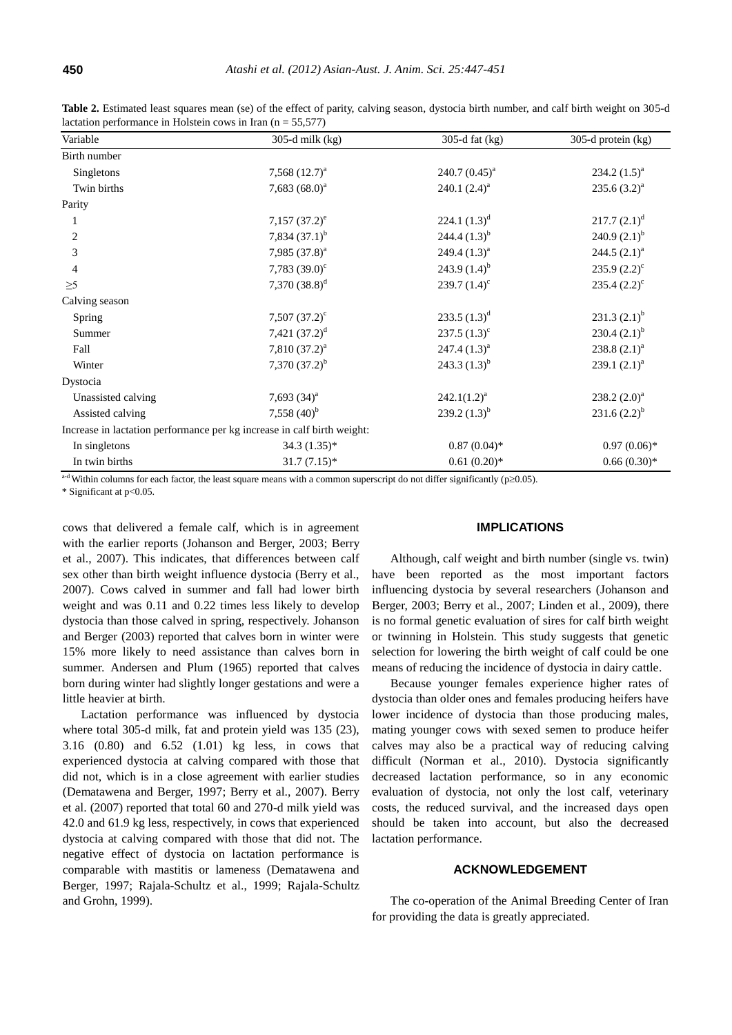| Variable           | 305-d milk $(kg)$                                                       | 305-d fat $(kg)$  | 305-d protein (kg)    |
|--------------------|-------------------------------------------------------------------------|-------------------|-----------------------|
| Birth number       |                                                                         |                   |                       |
| Singletons         | 7,568 $(12.7)^a$                                                        | 240.7 $(0.45)^a$  | $234.2 (1.5)^{a}$     |
| Twin births        | 7,683 $(68.0)^a$                                                        | 240.1 $(2.4)^a$   | $235.6(3.2)^{a}$      |
| Parity             |                                                                         |                   |                       |
|                    | $7,157(37.2)^e$                                                         | 224.1 $(1.3)^d$   | $217.7 (2.1)^d$       |
| 2                  | 7,834 $(37.1)^{b}$                                                      | 244.4 $(1.3)^{b}$ | 240.9 $(2.1)^{b}$     |
| 3                  | 7,985 $(37.8)^a$                                                        | 249.4 $(1.3)^a$   | 244.5 $(2.1)^a$       |
| 4                  | 7,783 $(39.0)^{\circ}$                                                  | 243.9 $(1.4)^{b}$ | $235.9 (2.2)^{\circ}$ |
| $\geq 5$           | 7,370 $(38.8)^d$                                                        | 239.7 $(1.4)^c$   | 235.4 $(2.2)^{c}$     |
| Calving season     |                                                                         |                   |                       |
| Spring             | $7,507(37.2)^c$                                                         | 233.5 $(1.3)^d$   | $231.3 (2.1)^{b}$     |
| Summer             | 7,421 $(37.2)^d$                                                        | $237.5(1.3)^c$    | 230.4 $(2.1)^{b}$     |
| Fall               | 7,810 $(37.2)^a$                                                        | 247.4 $(1.3)^a$   | 238.8 $(2.1)^a$       |
| Winter             | 7,370 $(37.2)^{b}$                                                      | 243.3 $(1.3)^{b}$ | 239.1 $(2.1)^a$       |
| Dystocia           |                                                                         |                   |                       |
| Unassisted calving | 7,693 $(34)^a$                                                          | $242.1(1.2)^a$    | 238.2 $(2.0)^a$       |
| Assisted calving   | 7,558 $(40)^{b}$                                                        | 239.2 $(1.3)^{b}$ | $231.6(2.2)^{b}$      |
|                    | Increase in lactation performance per kg increase in calf birth weight: |                   |                       |
| In singletons      | $34.3(1.35)^{*}$                                                        | $0.87(0.04)*$     | $0.97(0.06)*$         |
| In twin births     | $31.7(7.15)*$                                                           | $0.61(0.20)$ *    | $0.66(0.30)*$         |

**Table 2.** Estimated least squares mean (se) of the effect of parity, calving season, dystocia birth number, and calf birth weight on 305-d lactation performance in Holstein cows in Iran ( $n = 55,577$ )

<sup>a-d</sup> Within columns for each factor, the least square means with a common superscript do not differ significantly ( $p\geq 0.05$ ).

\* Significant at p<0.05.

cows that delivered a female calf, which is in agreement with the earlier reports (Johanson and Berger, 2003; Berry et al., 2007). This indicates, that differences between calf sex other than birth weight influence dystocia (Berry et al., 2007). Cows calved in summer and fall had lower birth weight and was 0.11 and 0.22 times less likely to develop dystocia than those calved in spring, respectively. Johanson and Berger (2003) reported that calves born in winter were 15% more likely to need assistance than calves born in summer. Andersen and Plum (1965) reported that calves born during winter had slightly longer gestations and were a little heavier at birth.

Lactation performance was influenced by dystocia where total 305-d milk, fat and protein yield was 135 (23), 3.16 (0.80) and 6.52 (1.01) kg less, in cows that experienced dystocia at calving compared with those that did not, which is in a close agreement with earlier studies (Dematawena and Berger, 1997; Berry et al., 2007). Berry et al. (2007) reported that total 60 and 270-d milk yield was 42.0 and 61.9 kg less, respectively, in cows that experienced dystocia at calving compared with those that did not. The negative effect of dystocia on lactation performance is comparable with mastitis or lameness (Dematawena and Berger, 1997; Rajala-Schultz et al., 1999; Rajala-Schultz and Grohn, 1999).

#### **IMPLICATIONS**

Although, calf weight and birth number (single vs. twin) have been reported as the most important factors influencing dystocia by several researchers (Johanson and Berger, 2003; Berry et al., 2007; Linden et al., 2009), there is no formal genetic evaluation of sires for calf birth weight or twinning in Holstein. This study suggests that genetic selection for lowering the birth weight of calf could be one means of reducing the incidence of dystocia in dairy cattle.

Because younger females experience higher rates of dystocia than older ones and females producing heifers have lower incidence of dystocia than those producing males, mating younger cows with sexed semen to produce heifer calves may also be a practical way of reducing calving difficult (Norman et al., 2010). Dystocia significantly decreased lactation performance, so in any economic evaluation of dystocia, not only the lost calf, veterinary costs, the reduced survival, and the increased days open should be taken into account, but also the decreased lactation performance.

## **ACKNOWLEDGEMENT**

The co-operation of the Animal Breeding Center of Iran for providing the data is greatly appreciated.